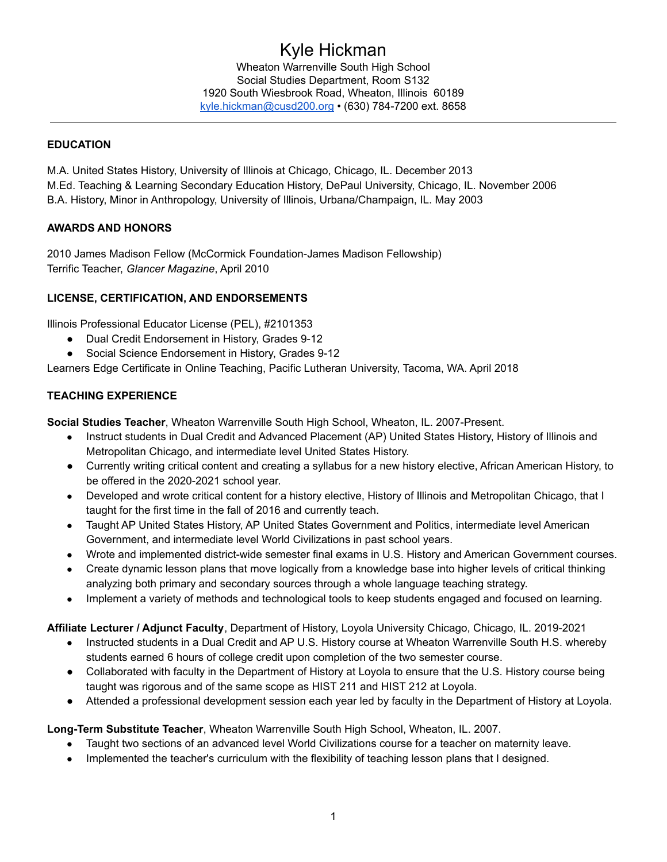# Kyle Hickman

Wheaton Warrenville South High School Social Studies Department, Room S132 1920 South Wiesbrook Road, Wheaton, Illinois 60189 [kyle.hickman@cusd200.org](mailto:kyle.hickman@cusd200.org) • (630) 784-7200 ext. 8658

# **EDUCATION**

M.A. United States History, University of Illinois at Chicago, Chicago, IL. December 2013 M.Ed. Teaching & Learning Secondary Education History, DePaul University, Chicago, IL. November 2006 B.A. History, Minor in Anthropology, University of Illinois, Urbana/Champaign, IL. May 2003

# **AWARDS AND HONORS**

2010 James Madison Fellow (McCormick Foundation-James Madison Fellowship) Terrific Teacher, *Glancer Magazine*, April 2010

# **LICENSE, CERTIFICATION, AND ENDORSEMENTS**

Illinois Professional Educator License (PEL), #2101353

- Dual Credit Endorsement in History, Grades 9-12
- Social Science Endorsement in History, Grades 9-12

Learners Edge Certificate in Online Teaching, Pacific Lutheran University, Tacoma, WA. April 2018

# **TEACHING EXPERIENCE**

**Social Studies Teacher**, Wheaton Warrenville South High School, Wheaton, IL. 2007-Present.

- Instruct students in Dual Credit and Advanced Placement (AP) United States History, History of Illinois and Metropolitan Chicago, and intermediate level United States History.
- Currently writing critical content and creating a syllabus for a new history elective, African American History, to be offered in the 2020-2021 school year.
- Developed and wrote critical content for a history elective, History of Illinois and Metropolitan Chicago, that I taught for the first time in the fall of 2016 and currently teach.
- Taught AP United States History, AP United States Government and Politics, intermediate level American Government, and intermediate level World Civilizations in past school years.
- Wrote and implemented district-wide semester final exams in U.S. History and American Government courses.
- Create dynamic lesson plans that move logically from a knowledge base into higher levels of critical thinking analyzing both primary and secondary sources through a whole language teaching strategy.
- Implement a variety of methods and technological tools to keep students engaged and focused on learning.

**Affiliate Lecturer / Adjunct Faculty**, Department of History, Loyola University Chicago, Chicago, IL. 2019-2021

- Instructed students in a Dual Credit and AP U.S. History course at Wheaton Warrenville South H.S. whereby students earned 6 hours of college credit upon completion of the two semester course.
- Collaborated with faculty in the Department of History at Loyola to ensure that the U.S. History course being taught was rigorous and of the same scope as HIST 211 and HIST 212 at Loyola.
- Attended a professional development session each year led by faculty in the Department of History at Loyola.

## **Long-Term Substitute Teacher**, Wheaton Warrenville South High School, Wheaton, IL. 2007.

- Taught two sections of an advanced level World Civilizations course for a teacher on maternity leave.
- Implemented the teacher's curriculum with the flexibility of teaching lesson plans that I designed.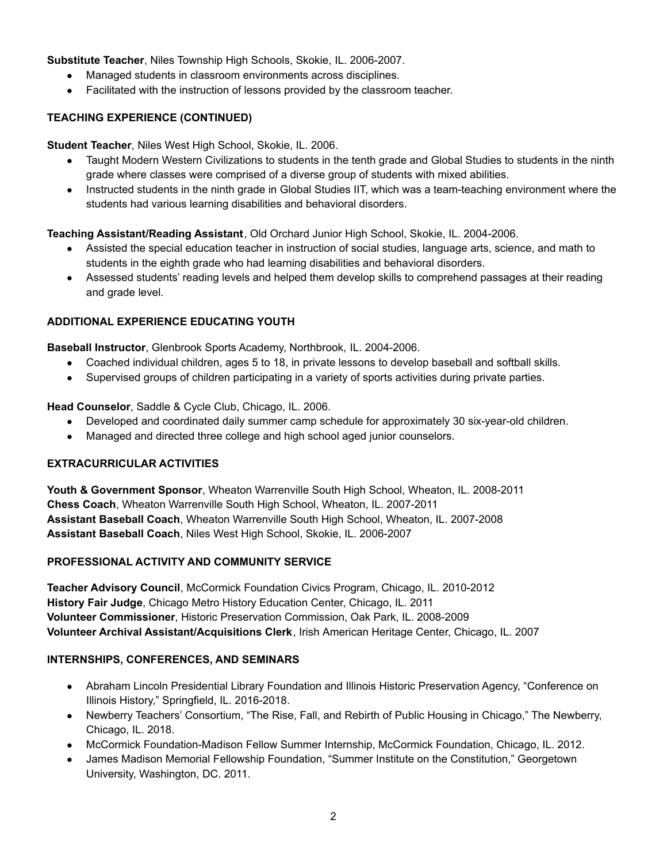# **Substitute Teacher**, Niles Township High Schools, Skokie, IL. 2006-2007.

- Managed students in classroom environments across disciplines.
- Facilitated with the instruction of lessons provided by the classroom teacher.

# **TEACHING EXPERIENCE (CONTINUED)**

**Student Teacher**, Niles West High School, Skokie, IL. 2006.

- Taught Modern Western Civilizations to students in the tenth grade and Global Studies to students in the ninth grade where classes were comprised of a diverse group of students with mixed abilities.
- Instructed students in the ninth grade in Global Studies IIT, which was a team-teaching environment where the students had various learning disabilities and behavioral disorders.

**Teaching Assistant/Reading Assistant**, Old Orchard Junior High School, Skokie, IL. 2004-2006.

- Assisted the special education teacher in instruction of social studies, language arts, science, and math to students in the eighth grade who had learning disabilities and behavioral disorders.
- Assessed students' reading levels and helped them develop skills to comprehend passages at their reading and grade level.

# **ADDITIONAL EXPERIENCE EDUCATING YOUTH**

**Baseball Instructor**, Glenbrook Sports Academy, Northbrook, IL. 2004-2006.

- Coached individual children, ages 5 to 18, in private lessons to develop baseball and softball skills.
- Supervised groups of children participating in a variety of sports activities during private parties.

**Head Counselor**, Saddle & Cycle Club, Chicago, IL. 2006.

- Developed and coordinated daily summer camp schedule for approximately 30 six-year-old children.
- Managed and directed three college and high school aged junior counselors.

## **EXTRACURRICULAR ACTIVITIES**

**Youth & Government Sponsor**, Wheaton Warrenville South High School, Wheaton, IL. 2008-2011 **Chess Coach**, Wheaton Warrenville South High School, Wheaton, IL. 2007-2011 **Assistant Baseball Coach**, Wheaton Warrenville South High School, Wheaton, IL. 2007-2008 **Assistant Baseball Coach**, Niles West High School, Skokie, IL. 2006-2007

## **PROFESSIONAL ACTIVITY AND COMMUNITY SERVICE**

**Teacher Advisory Council**, McCormick Foundation Civics Program, Chicago, IL. 2010-2012 **History Fair Judge**, Chicago Metro History Education Center, Chicago, IL. 2011 **Volunteer Commissioner**, Historic Preservation Commission, Oak Park, IL. 2008-2009 **Volunteer Archival Assistant/Acquisitions Clerk**, Irish American Heritage Center, Chicago, IL. 2007

## **INTERNSHIPS, CONFERENCES, AND SEMINARS**

- Abraham Lincoln Presidential Library Foundation and Illinois Historic Preservation Agency, "Conference on Illinois History," Springfield, IL. 2016-2018.
- Newberry Teachers' Consortium, "The Rise, Fall, and Rebirth of Public Housing in Chicago," The Newberry, Chicago, IL. 2018.
- McCormick Foundation-Madison Fellow Summer Internship, McCormick Foundation, Chicago, IL. 2012.
- James Madison Memorial Fellowship Foundation, "Summer Institute on the Constitution," Georgetown University, Washington, DC. 2011.